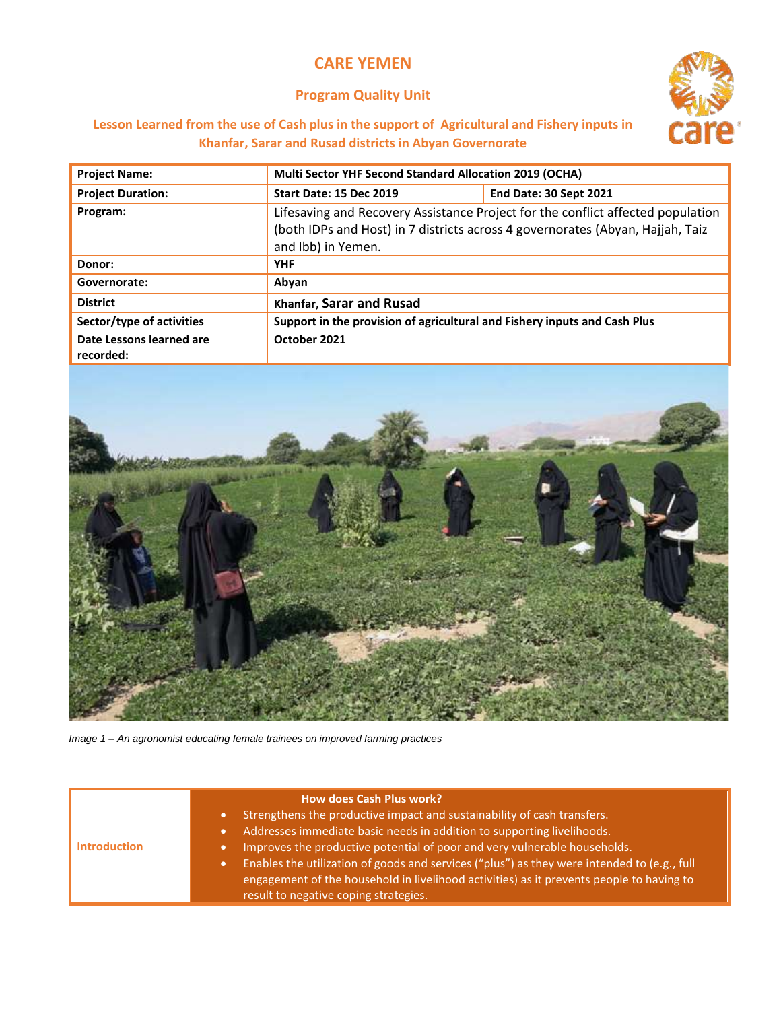## **CARE YEMEN**

## **Program Quality Unit**



## **Lesson Learned from the use of Cash plus in the support of Agricultural and Fishery inputs in Khanfar, Sarar and Rusad districts in Abyan Governorate**

| <b>Project Name:</b>                  | Multi Sector YHF Second Standard Allocation 2019 (OCHA)                                                                                                                                 |                               |
|---------------------------------------|-----------------------------------------------------------------------------------------------------------------------------------------------------------------------------------------|-------------------------------|
| <b>Project Duration:</b>              | <b>Start Date: 15 Dec 2019</b>                                                                                                                                                          | <b>End Date: 30 Sept 2021</b> |
| Program:                              | Lifesaving and Recovery Assistance Project for the conflict affected population<br>(both IDPs and Host) in 7 districts across 4 governorates (Abyan, Hajjah, Taiz<br>and Ibb) in Yemen. |                               |
| Donor:                                | <b>YHF</b>                                                                                                                                                                              |                               |
| Governorate:                          | Abyan                                                                                                                                                                                   |                               |
| <b>District</b>                       | Khanfar, Sarar and Rusad                                                                                                                                                                |                               |
| Sector/type of activities             | Support in the provision of agricultural and Fishery inputs and Cash Plus                                                                                                               |                               |
| Date Lessons learned are<br>recorded: | October 2021                                                                                                                                                                            |                               |



*Image 1 – An agronomist educating female trainees on improved farming practices*

|                     | <b>How does Cash Plus work?</b>                                                                                                                                                                                                  |
|---------------------|----------------------------------------------------------------------------------------------------------------------------------------------------------------------------------------------------------------------------------|
|                     | Strengthens the productive impact and sustainability of cash transfers.                                                                                                                                                          |
| <b>Introduction</b> | Addresses immediate basic needs in addition to supporting livelihoods.                                                                                                                                                           |
|                     | Improves the productive potential of poor and very vulnerable households.                                                                                                                                                        |
|                     | Enables the utilization of goods and services ("plus") as they were intended to (e.g., full<br>engagement of the household in livelihood activities) as it prevents people to having to<br>result to negative coping strategies. |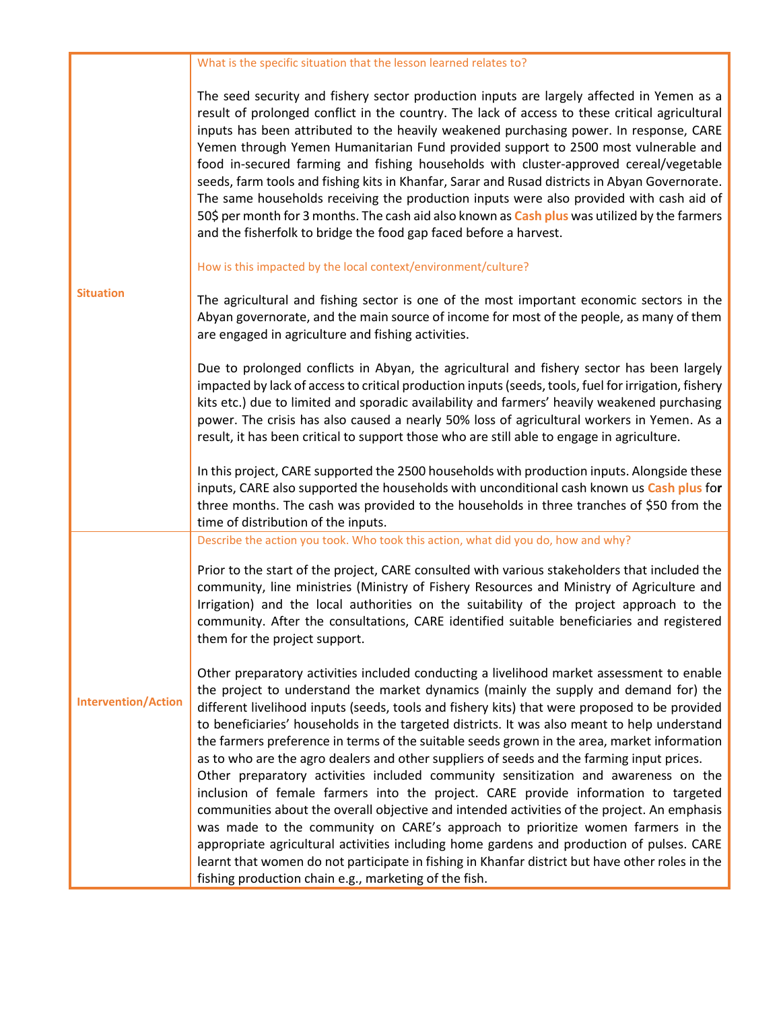|                            | What is the specific situation that the lesson learned relates to?                                                                                                                                                                                                                                                                                                                                                                                                                                                                                                                                                                                                                                                                                                                                                                                                                                                                                                                                                                                                                                                                                                                                    |
|----------------------------|-------------------------------------------------------------------------------------------------------------------------------------------------------------------------------------------------------------------------------------------------------------------------------------------------------------------------------------------------------------------------------------------------------------------------------------------------------------------------------------------------------------------------------------------------------------------------------------------------------------------------------------------------------------------------------------------------------------------------------------------------------------------------------------------------------------------------------------------------------------------------------------------------------------------------------------------------------------------------------------------------------------------------------------------------------------------------------------------------------------------------------------------------------------------------------------------------------|
| <b>Situation</b>           | The seed security and fishery sector production inputs are largely affected in Yemen as a<br>result of prolonged conflict in the country. The lack of access to these critical agricultural<br>inputs has been attributed to the heavily weakened purchasing power. In response, CARE<br>Yemen through Yemen Humanitarian Fund provided support to 2500 most vulnerable and<br>food in-secured farming and fishing households with cluster-approved cereal/vegetable<br>seeds, farm tools and fishing kits in Khanfar, Sarar and Rusad districts in Abyan Governorate.<br>The same households receiving the production inputs were also provided with cash aid of<br>50\$ per month for 3 months. The cash aid also known as Cash plus was utilized by the farmers<br>and the fisherfolk to bridge the food gap faced before a harvest.                                                                                                                                                                                                                                                                                                                                                               |
|                            | How is this impacted by the local context/environment/culture?                                                                                                                                                                                                                                                                                                                                                                                                                                                                                                                                                                                                                                                                                                                                                                                                                                                                                                                                                                                                                                                                                                                                        |
|                            | The agricultural and fishing sector is one of the most important economic sectors in the<br>Abyan governorate, and the main source of income for most of the people, as many of them<br>are engaged in agriculture and fishing activities.                                                                                                                                                                                                                                                                                                                                                                                                                                                                                                                                                                                                                                                                                                                                                                                                                                                                                                                                                            |
|                            | Due to prolonged conflicts in Abyan, the agricultural and fishery sector has been largely<br>impacted by lack of access to critical production inputs (seeds, tools, fuel for irrigation, fishery<br>kits etc.) due to limited and sporadic availability and farmers' heavily weakened purchasing<br>power. The crisis has also caused a nearly 50% loss of agricultural workers in Yemen. As a<br>result, it has been critical to support those who are still able to engage in agriculture.                                                                                                                                                                                                                                                                                                                                                                                                                                                                                                                                                                                                                                                                                                         |
|                            | In this project, CARE supported the 2500 households with production inputs. Alongside these<br>inputs, CARE also supported the households with unconditional cash known us Cash plus for<br>three months. The cash was provided to the households in three tranches of \$50 from the<br>time of distribution of the inputs.                                                                                                                                                                                                                                                                                                                                                                                                                                                                                                                                                                                                                                                                                                                                                                                                                                                                           |
|                            | Describe the action you took. Who took this action, what did you do, how and why?                                                                                                                                                                                                                                                                                                                                                                                                                                                                                                                                                                                                                                                                                                                                                                                                                                                                                                                                                                                                                                                                                                                     |
| <b>Intervention/Action</b> | Prior to the start of the project, CARE consulted with various stakeholders that included the<br>community, line ministries (Ministry of Fishery Resources and Ministry of Agriculture and<br>Irrigation) and the local authorities on the suitability of the project approach to the<br>community. After the consultations, CARE identified suitable beneficiaries and registered<br>them for the project support.                                                                                                                                                                                                                                                                                                                                                                                                                                                                                                                                                                                                                                                                                                                                                                                   |
|                            | Other preparatory activities included conducting a livelihood market assessment to enable<br>the project to understand the market dynamics (mainly the supply and demand for) the<br>different livelihood inputs (seeds, tools and fishery kits) that were proposed to be provided<br>to beneficiaries' households in the targeted districts. It was also meant to help understand<br>the farmers preference in terms of the suitable seeds grown in the area, market information<br>as to who are the agro dealers and other suppliers of seeds and the farming input prices.<br>Other preparatory activities included community sensitization and awareness on the<br>inclusion of female farmers into the project. CARE provide information to targeted<br>communities about the overall objective and intended activities of the project. An emphasis<br>was made to the community on CARE's approach to prioritize women farmers in the<br>appropriate agricultural activities including home gardens and production of pulses. CARE<br>learnt that women do not participate in fishing in Khanfar district but have other roles in the<br>fishing production chain e.g., marketing of the fish. |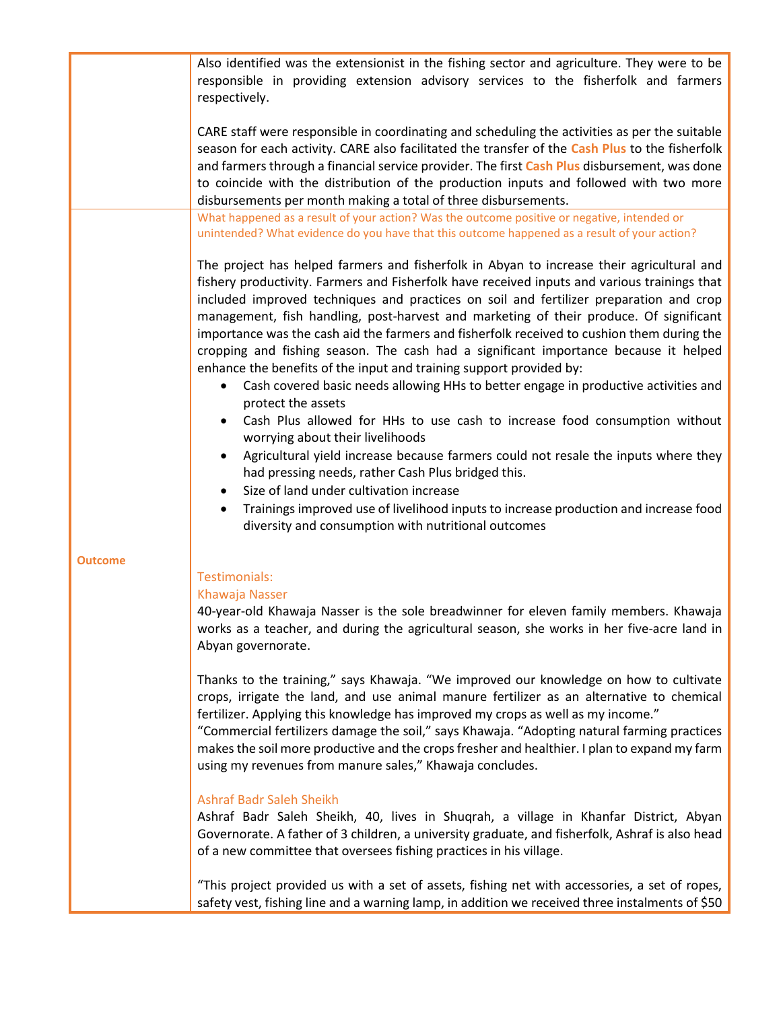|         | Also identified was the extensionist in the fishing sector and agriculture. They were to be<br>responsible in providing extension advisory services to the fisherfolk and farmers<br>respectively.                                                                                                                                                                                                                                                                                                                                                                                                                                                                                                                                                                                                                                                                                                                                                                                                                                                                                                      |
|---------|---------------------------------------------------------------------------------------------------------------------------------------------------------------------------------------------------------------------------------------------------------------------------------------------------------------------------------------------------------------------------------------------------------------------------------------------------------------------------------------------------------------------------------------------------------------------------------------------------------------------------------------------------------------------------------------------------------------------------------------------------------------------------------------------------------------------------------------------------------------------------------------------------------------------------------------------------------------------------------------------------------------------------------------------------------------------------------------------------------|
|         | CARE staff were responsible in coordinating and scheduling the activities as per the suitable<br>season for each activity. CARE also facilitated the transfer of the Cash Plus to the fisherfolk<br>and farmers through a financial service provider. The first Cash Plus disbursement, was done<br>to coincide with the distribution of the production inputs and followed with two more<br>disbursements per month making a total of three disbursements.                                                                                                                                                                                                                                                                                                                                                                                                                                                                                                                                                                                                                                             |
|         | What happened as a result of your action? Was the outcome positive or negative, intended or<br>unintended? What evidence do you have that this outcome happened as a result of your action?                                                                                                                                                                                                                                                                                                                                                                                                                                                                                                                                                                                                                                                                                                                                                                                                                                                                                                             |
|         | The project has helped farmers and fisherfolk in Abyan to increase their agricultural and<br>fishery productivity. Farmers and Fisherfolk have received inputs and various trainings that<br>included improved techniques and practices on soil and fertilizer preparation and crop<br>management, fish handling, post-harvest and marketing of their produce. Of significant<br>importance was the cash aid the farmers and fisherfolk received to cushion them during the<br>cropping and fishing season. The cash had a significant importance because it helped<br>enhance the benefits of the input and training support provided by:<br>Cash covered basic needs allowing HHs to better engage in productive activities and<br>$\bullet$<br>protect the assets<br>Cash Plus allowed for HHs to use cash to increase food consumption without<br>worrying about their livelihoods<br>Agricultural yield increase because farmers could not resale the inputs where they<br>$\bullet$<br>had pressing needs, rather Cash Plus bridged this.<br>Size of land under cultivation increase<br>$\bullet$ |
|         | Trainings improved use of livelihood inputs to increase production and increase food<br>diversity and consumption with nutritional outcomes                                                                                                                                                                                                                                                                                                                                                                                                                                                                                                                                                                                                                                                                                                                                                                                                                                                                                                                                                             |
| Outcome | Testimonials:<br>Khawaja Nasser<br>40-year-old Khawaja Nasser is the sole breadwinner for eleven family members. Khawaja<br>works as a teacher, and during the agricultural season, she works in her five-acre land in<br>Abyan governorate.                                                                                                                                                                                                                                                                                                                                                                                                                                                                                                                                                                                                                                                                                                                                                                                                                                                            |
|         | Thanks to the training," says Khawaja. "We improved our knowledge on how to cultivate<br>crops, irrigate the land, and use animal manure fertilizer as an alternative to chemical<br>fertilizer. Applying this knowledge has improved my crops as well as my income."<br>"Commercial fertilizers damage the soil," says Khawaja. "Adopting natural farming practices<br>makes the soil more productive and the crops fresher and healthier. I plan to expand my farm<br>using my revenues from manure sales," Khawaja concludes.                                                                                                                                                                                                                                                                                                                                                                                                                                                                                                                                                                        |
|         | <b>Ashraf Badr Saleh Sheikh</b><br>Ashraf Badr Saleh Sheikh, 40, lives in Shuqrah, a village in Khanfar District, Abyan<br>Governorate. A father of 3 children, a university graduate, and fisherfolk, Ashraf is also head<br>of a new committee that oversees fishing practices in his village.                                                                                                                                                                                                                                                                                                                                                                                                                                                                                                                                                                                                                                                                                                                                                                                                        |
|         | "This project provided us with a set of assets, fishing net with accessories, a set of ropes,<br>safety vest, fishing line and a warning lamp, in addition we received three instalments of \$50                                                                                                                                                                                                                                                                                                                                                                                                                                                                                                                                                                                                                                                                                                                                                                                                                                                                                                        |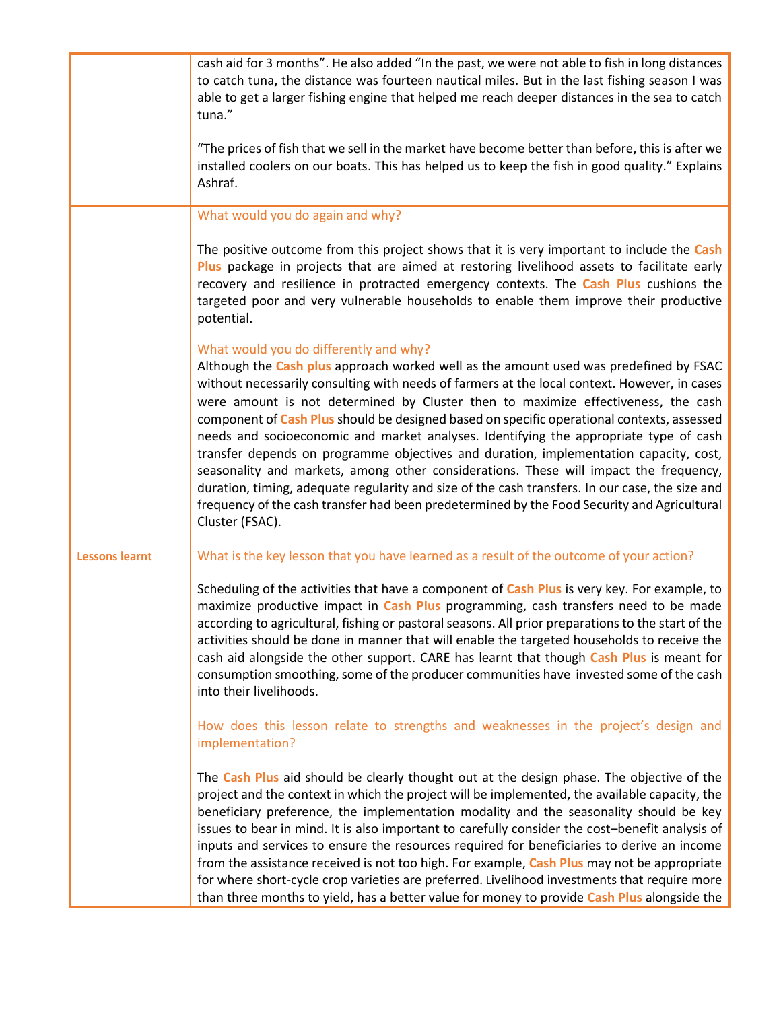|                       | cash aid for 3 months". He also added "In the past, we were not able to fish in long distances<br>to catch tuna, the distance was fourteen nautical miles. But in the last fishing season I was<br>able to get a larger fishing engine that helped me reach deeper distances in the sea to catch<br>tuna."<br>"The prices of fish that we sell in the market have become better than before, this is after we<br>installed coolers on our boats. This has helped us to keep the fish in good quality." Explains<br>Ashraf.                                                                                                                                                                                                                                                                                                                                                                                         |
|-----------------------|--------------------------------------------------------------------------------------------------------------------------------------------------------------------------------------------------------------------------------------------------------------------------------------------------------------------------------------------------------------------------------------------------------------------------------------------------------------------------------------------------------------------------------------------------------------------------------------------------------------------------------------------------------------------------------------------------------------------------------------------------------------------------------------------------------------------------------------------------------------------------------------------------------------------|
|                       | What would you do again and why?                                                                                                                                                                                                                                                                                                                                                                                                                                                                                                                                                                                                                                                                                                                                                                                                                                                                                   |
|                       | The positive outcome from this project shows that it is very important to include the Cash<br>Plus package in projects that are aimed at restoring livelihood assets to facilitate early<br>recovery and resilience in protracted emergency contexts. The Cash Plus cushions the<br>targeted poor and very vulnerable households to enable them improve their productive<br>potential.                                                                                                                                                                                                                                                                                                                                                                                                                                                                                                                             |
|                       | What would you do differently and why?<br>Although the Cash plus approach worked well as the amount used was predefined by FSAC<br>without necessarily consulting with needs of farmers at the local context. However, in cases<br>were amount is not determined by Cluster then to maximize effectiveness, the cash<br>component of Cash Plus should be designed based on specific operational contexts, assessed<br>needs and socioeconomic and market analyses. Identifying the appropriate type of cash<br>transfer depends on programme objectives and duration, implementation capacity, cost,<br>seasonality and markets, among other considerations. These will impact the frequency,<br>duration, timing, adequate regularity and size of the cash transfers. In our case, the size and<br>frequency of the cash transfer had been predetermined by the Food Security and Agricultural<br>Cluster (FSAC). |
| <b>Lessons learnt</b> | What is the key lesson that you have learned as a result of the outcome of your action?                                                                                                                                                                                                                                                                                                                                                                                                                                                                                                                                                                                                                                                                                                                                                                                                                            |
|                       | Scheduling of the activities that have a component of Cash Plus is very key. For example, to<br>maximize productive impact in Cash Plus programming, cash transfers need to be made<br>according to agricultural, fishing or pastoral seasons. All prior preparations to the start of the<br>activities should be done in manner that will enable the targeted households to receive the<br>cash aid alongside the other support. CARE has learnt that though Cash Plus is meant for<br>consumption smoothing, some of the producer communities have invested some of the cash<br>into their livelihoods.                                                                                                                                                                                                                                                                                                          |
|                       | How does this lesson relate to strengths and weaknesses in the project's design and<br>implementation?                                                                                                                                                                                                                                                                                                                                                                                                                                                                                                                                                                                                                                                                                                                                                                                                             |
|                       | The Cash Plus aid should be clearly thought out at the design phase. The objective of the<br>project and the context in which the project will be implemented, the available capacity, the<br>beneficiary preference, the implementation modality and the seasonality should be key<br>issues to bear in mind. It is also important to carefully consider the cost-benefit analysis of<br>inputs and services to ensure the resources required for beneficiaries to derive an income<br>from the assistance received is not too high. For example, Cash Plus may not be appropriate<br>for where short-cycle crop varieties are preferred. Livelihood investments that require more<br>than three months to yield, has a better value for money to provide Cash Plus alongside the                                                                                                                                 |